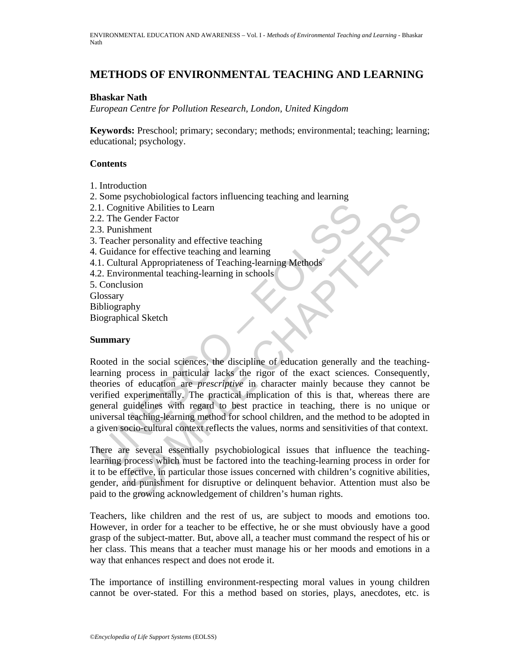# **METHODS OF ENVIRONMENTAL TEACHING AND LEARNING**

### **Bhaskar Nath**

*European Centre for Pollution Research, London, United Kingdom* 

**Keywords:** Preschool; primary; secondary; methods; environmental; teaching; learning; educational; psychology.

## **Contents**

- 1. Introduction
- 2. Some psychobiological factors influencing teaching and learning
- 2.1. Cognitive Abilities to Learn
- 2.2. The Gender Factor
- 2.3. Punishment
- 3. Teacher personality and effective teaching
- 4. Guidance for effective teaching and learning
- 4.1. Cultural Appropriateness of Teaching-learning Methods
- 4.2. Environmental teaching-learning in schools
- 5. Conclusion **Glossary** Bibliography Biographical Sketch

### **Summary**

1. Cognitive Abilities to Learn<br>
2. The Gender Factor<br>
2. The Gender Factor<br>
1. Feacher personality and effective teaching<br>
1. Cultural Appropriateness of Teaching-learning Methods<br>
2. Environmental teaching-learning in sc intive Abilities to Learn<br>
Simment<br>
shintive Abilities to Learn<br>
shiment<br>
shiment<br>
er personality and effective teaching<br>
and learning<br>
ural Appropriateness of Teaching-learning<br>
moronmental teaching-learning in schools<br>
s Rooted in the social sciences, the discipline of education generally and the teachinglearning process in particular lacks the rigor of the exact sciences. Consequently, theories of education are *prescriptive* in character mainly because they cannot be verified experimentally. The practical implication of this is that, whereas there are general guidelines with regard to best practice in teaching, there is no unique or universal teaching-learning method for school children, and the method to be adopted in a given socio-cultural context reflects the values, norms and sensitivities of that context.

There are several essentially psychobiological issues that influence the teachinglearning process which must be factored into the teaching-learning process in order for it to be effective, in particular those issues concerned with children's cognitive abilities, gender, and punishment for disruptive or delinquent behavior. Attention must also be paid to the growing acknowledgement of children's human rights.

Teachers, like children and the rest of us, are subject to moods and emotions too. However, in order for a teacher to be effective, he or she must obviously have a good grasp of the subject-matter. But, above all, a teacher must command the respect of his or her class. This means that a teacher must manage his or her moods and emotions in a way that enhances respect and does not erode it.

The importance of instilling environment-respecting moral values in young children cannot be over-stated. For this a method based on stories, plays, anecdotes, etc. is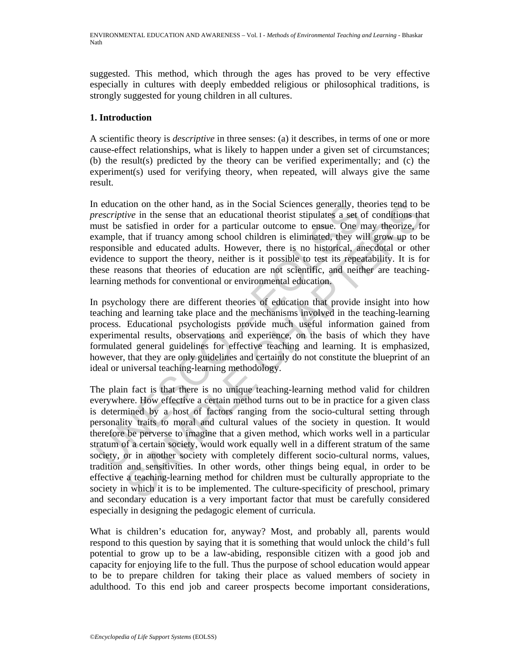suggested. This method, which through the ages has proved to be very effective especially in cultures with deeply embedded religious or philosophical traditions, is strongly suggested for young children in all cultures.

## **1. Introduction**

A scientific theory is *descriptive* in three senses: (a) it describes, in terms of one or more cause-effect relationships, what is likely to happen under a given set of circumstances; (b) the result(s) predicted by the theory can be verified experimentally; and (c) the experiment(s) used for verifying theory, when repeated, will always give the same result.

In education on the other hand, as in the Social Sciences generally, theories tend to be *prescriptive* in the sense that an educational theorist stipulates a set of conditions that must be satisfied in order for a particular outcome to ensue. One may theorize, for example, that if truancy among school children is eliminated, they will grow up to be responsible and educated adults. However, there is no historical, anecdotal or other evidence to support the theory, neither is it possible to test its repeatability. It is for these reasons that theories of education are not scientific, and neither are teachinglearning methods for conventional or environmental education.

In psychology there are different theories of education that provide insight into how teaching and learning take place and the mechanisms involved in the teaching-learning process. Educational psychologists provide much useful information gained from experimental results, observations and experience, on the basis of which they have formulated general guidelines for effective teaching and learning. It is emphasized, however, that they are only guidelines and certainly do not constitute the blueprint of an ideal or universal teaching-learning methodology.

netation on the other hand, as in the Social Sciences generally, the exerciptive in the sense that an educational theorist stipulates a set channels the satisfied in order for a particular outcome to ensue. One near and ex tive in the sense that an educational theorist stipulates a set of conditions that since it is satisfied in order for a particular outcome to ensue. One may theorist stipulates in the sense of conditions that if truancy am The plain fact is that there is no unique teaching-learning method valid for children everywhere. How effective a certain method turns out to be in practice for a given class is determined by a host of factors ranging from the socio-cultural setting through personality traits to moral and cultural values of the society in question. It would therefore be perverse to imagine that a given method, which works well in a particular stratum of a certain society, would work equally well in a different stratum of the same society, or in another society with completely different socio-cultural norms, values, tradition and sensitivities. In other words, other things being equal, in order to be effective a teaching-learning method for children must be culturally appropriate to the society in which it is to be implemented. The culture-specificity of preschool, primary and secondary education is a very important factor that must be carefully considered especially in designing the pedagogic element of curricula.

What is children's education for, anyway? Most, and probably all, parents would respond to this question by saying that it is something that would unlock the child's full potential to grow up to be a law-abiding, responsible citizen with a good job and capacity for enjoying life to the full. Thus the purpose of school education would appear to be to prepare children for taking their place as valued members of society in adulthood. To this end job and career prospects become important considerations,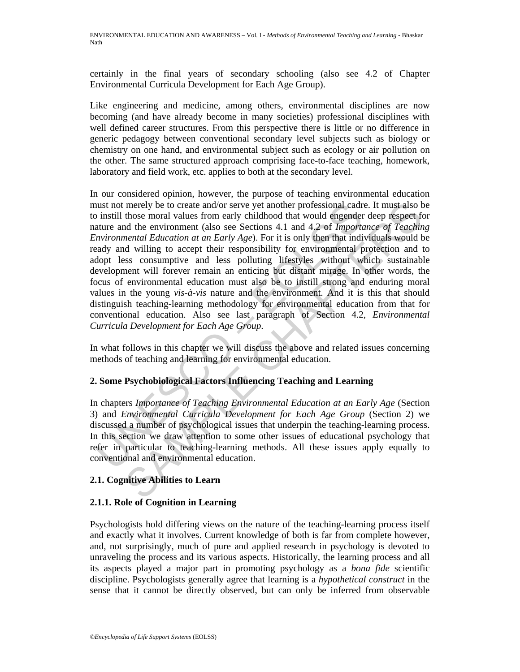certainly in the final years of secondary schooling (also see 4.2 of Chapter Environmental Curricula Development for Each Age Group).

Like engineering and medicine, among others, environmental disciplines are now becoming (and have already become in many societies) professional disciplines with well defined career structures. From this perspective there is little or no difference in generic pedagogy between conventional secondary level subjects such as biology or chemistry on one hand, and environmental subject such as ecology or air pollution on the other. The same structured approach comprising face-to-face teaching, homework, laboratory and field work, etc. applies to both at the secondary level.

at must not merely be to create and/or serve yet another professional cadminum in statil those moral values from early childhood that would engender<br>atture and the environment (also see Sections 4.1 and 4.2 of *Import*<br>at merely be to create and/or serve yet another professional cadre. It must also b<br>those moral values from early childhood that would engeneed reep respect<br>of the environment (also see Sections 4.1 and 4.2 of *Importance of* In our considered opinion, however, the purpose of teaching environmental education must not merely be to create and/or serve yet another professional cadre. It must also be to instill those moral values from early childhood that would engender deep respect for nature and the environment (also see Sections 4.1 and 4.2 of *Importance of Teaching Environmental Education at an Early Age*). For it is only then that individuals would be ready and willing to accept their responsibility for environmental protection and to adopt less consumptive and less polluting lifestyles without which sustainable development will forever remain an enticing but distant mirage. In other words, the focus of environmental education must also be to instill strong and enduring moral values in the young *vis-à-vis* nature and the environment. And it is this that should distinguish teaching-learning methodology for environmental education from that for conventional education. Also see last paragraph of Section 4.2, *Environmental Curricula Development for Each Age Group*.

In what follows in this chapter we will discuss the above and related issues concerning methods of teaching and learning for environmental education.

## **2. Some Psychobiological Factors Influencing Teaching and Learning**

In chapters *Importance of Teaching Environmental Education at an Early Age* (Section 3) and *Environmental Curricula Development for Each Age Group* (Section 2) we discussed a number of psychological issues that underpin the teaching-learning process. In this section we draw attention to some other issues of educational psychology that refer in particular to teaching-learning methods. All these issues apply equally to conventional and environmental education.

## **2.1. Cognitive Abilities to Learn**

## **2.1.1. Role of Cognition in Learning**

Psychologists hold differing views on the nature of the teaching-learning process itself and exactly what it involves. Current knowledge of both is far from complete however, and, not surprisingly, much of pure and applied research in psychology is devoted to unraveling the process and its various aspects. Historically, the learning process and all its aspects played a major part in promoting psychology as a *bona fide* scientific discipline. Psychologists generally agree that learning is a *hypothetical construct* in the sense that it cannot be directly observed, but can only be inferred from observable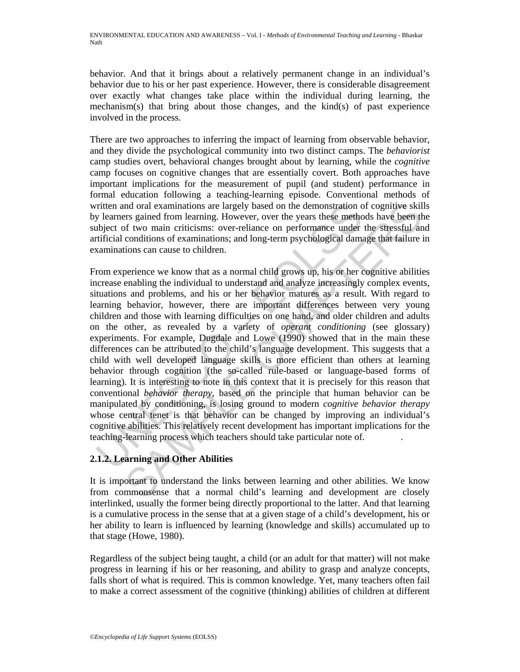behavior. And that it brings about a relatively permanent change in an individual's behavior due to his or her past experience. However, there is considerable disagreement over exactly what changes take place within the individual during learning, the mechanism(s) that bring about those changes, and the kind(s) of past experience involved in the process.

There are two approaches to inferring the impact of learning from observable behavior, and they divide the psychological community into two distinct camps. The *behaviorist*  camp studies overt, behavioral changes brought about by learning, while the *cognitive*  camp focuses on cognitive changes that are essentially covert. Both approaches have important implications for the measurement of pupil (and student) performance in formal education following a teaching-learning episode. Conventional methods of written and oral examinations are largely based on the demonstration of cognitive skills by learners gained from learning. However, over the years these methods have been the subject of two main criticisms: over-reliance on performance under the stressful and artificial conditions of examinations; and long-term psychological damage that failure in examinations can cause to children.

ritten and oral examinations are largely based on the demonstration or<br>learners gained from learning. However, over the years these methological of two main criticisms: over-reliance on performance under<br>trificial conditio nd oral examinations are largely based on the demonstration of cognitive skill<br>are systing and from learning. However, over the years these methods have been this<br>of f two main criticisms: over-reliance on performance unde From experience we know that as a normal child grows up, his or her cognitive abilities increase enabling the individual to understand and analyze increasingly complex events, situations and problems, and his or her behavior matures as a result. With regard to learning behavior, however, there are important differences between very young children and those with learning difficulties on one hand, and older children and adults on the other, as revealed by a variety of *operant conditioning* (see glossary) experiments. For example, Dugdale and Lowe (1990) showed that in the main these differences can be attributed to the child's language development. This suggests that a child with well developed language skills is more efficient than others at learning behavior through cognition (the so-called rule-based or language-based forms of learning). It is interesting to note in this context that it is precisely for this reason that conventional *behavior therapy*, based on the principle that human behavior can be manipulated by conditioning, is losing ground to modern *cognitive behavior therapy* whose central tenet is that behavior can be changed by improving an individual's cognitive abilities. This relatively recent development has important implications for the teaching-learning process which teachers should take particular note of. .

## **2.1.2. Learning and Other Abilities**

It is important to understand the links between learning and other abilities. We know from commonsense that a normal child's learning and development are closely interlinked, usually the former being directly proportional to the latter. And that learning is a cumulative process in the sense that at a given stage of a child's development, his or her ability to learn is influenced by learning (knowledge and skills) accumulated up to that stage (Howe, 1980).

Regardless of the subject being taught, a child (or an adult for that matter) will not make progress in learning if his or her reasoning, and ability to grasp and analyze concepts, falls short of what is required. This is common knowledge. Yet, many teachers often fail to make a correct assessment of the cognitive (thinking) abilities of children at different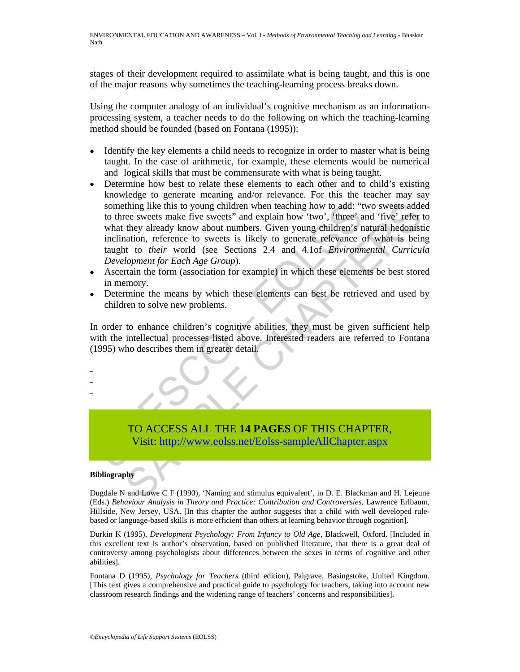stages of their development required to assimilate what is being taught, and this is one of the major reasons why sometimes the teaching-learning process breaks down.

Using the computer analogy of an individual's cognitive mechanism as an informationprocessing system, a teacher needs to do the following on which the teaching-learning method should be founded (based on Fontana (1995)):

- Identify the key elements a child needs to recognize in order to master what is being taught. In the case of arithmetic, for example, these elements would be numerical and logical skills that must be commensurate with what is being taught.
- something like this to young children when teaching how to add: "to three sweets make five sweets" and explain how 'two', "three' a<br>what they already know about numbers. Given young children's rind<br>uniform and the uniform thing like this to young children when teaching how to add: "two sweets ander the sectes make five sweets" and explain how 'two', 'three' and 'five' refer the sectest mation, reference to sweets is likely to generate relev • Determine how best to relate these elements to each other and to child's existing knowledge to generate meaning and/or relevance. For this the teacher may say something like this to young children when teaching how to add: "two sweets added to three sweets make five sweets" and explain how 'two', 'three' and 'five' refer to what they already know about numbers. Given young children's natural hedonistic inclination, reference to sweets is likely to generate relevance of what is being taught to *their* world (see Sections 2.4 and 4.1of *Environmental Curricula Development for Each Age Group*).
- Ascertain the form (association for example) in which these elements be best stored in memory.
- Determine the means by which these elements can best be retrieved and used by children to solve new problems.

In order to enhance children's cognitive abilities, they must be given sufficient help with the intellectual processes listed above. Interested readers are referred to Fontana (1995) who describes them in greater detail.

TO ACCESS ALL THE **14 PAGES** OF THIS CHAPTER, Visit: http://www.eolss.net/Eolss-sampleAllChapter.aspx

#### **Bibliography**

- - -

Dugdale N and Lowe C F (1990), 'Naming and stimulus equivalent', in D. E. Blackman and H. Lejeune (Eds.) *Behaviour Analysis in Theory and Practice: Contribution and Controversies*, Lawrence Erlbaum, Hillside, New Jersey, USA. [In this chapter the author suggests that a child with well developed rulebased or language-based skills is more efficient than others at learning behavior through cognition].

Durkin K (1995), *Development Psychology: From Infancy to Old Age*, Blackwell, Oxford. [Included in this excellent text is author's observation, based on published literature, that there is a great deal of controversy among psychologists about differences between the sexes in terms of cognitive and other abilities].

Fontana D (1995), *Psychology for Teachers* (third edition), Palgrave, Basingstoke, United Kingdom. [This text gives a comprehensive and practical guide to psychology for teachers, taking into account new classroom research findings and the widening range of teachers' concerns and responsibilities].